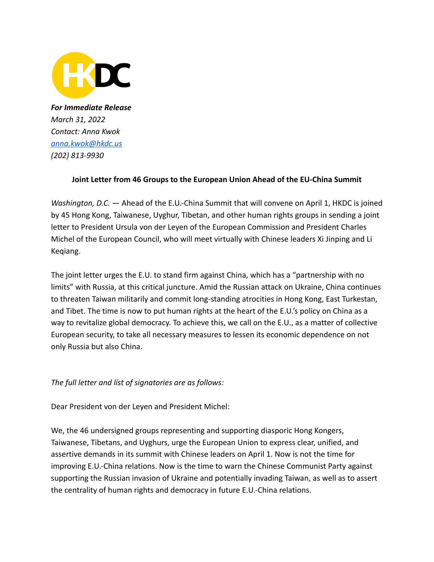

*For Immediate Release March 31, 2022 Contact: Anna Kwok [anna.kwok@hkdc.us](mailto:anna.kwok@hkdc.us) (202) 813-9930*

## **Joint Letter from 46 Groups to the European Union Ahead of the EU-China Summit**

*Washington, D.C. —* Ahead of the E.U.-China Summit that will convene on April 1, HKDC is joined by 45 Hong Kong, Taiwanese, Uyghur, Tibetan, and other human rights groups in sending a joint letter to President Ursula von der Leyen of the European Commission and President Charles Michel of the European Council, who will meet virtually with Chinese leaders Xi Jinping and Li Keqiang.

The joint letter urges the E.U. to stand firm against China, which has a "partnership with no limits" with Russia, at this critical juncture. Amid the Russian attack on Ukraine, China continues to threaten Taiwan militarily and commit long-standing atrocities in Hong Kong, East Turkestan, and Tibet. The time is now to put human rights at the heart of the E.U.'s policy on China as a way to revitalize global democracy. To achieve this, we call on the E.U., as a matter of collective European security, to take all necessary measures to lessen its economic dependence on not only Russia but also China.

*The full letter and list of signatories are as follows:*

Dear President von der Leyen and President Michel:

We, the 46 undersigned groups representing and supporting diasporic Hong Kongers, Taiwanese, Tibetans, and Uyghurs, urge the European Union to express clear, unified, and assertive demands in its summit with Chinese leaders on April 1. Now is not the time for improving E.U.-China relations. Now is the time to warn the Chinese Communist Party against supporting the Russian invasion of Ukraine and potentially invading Taiwan, as well as to assert the centrality of human rights and democracy in future E.U.-China relations.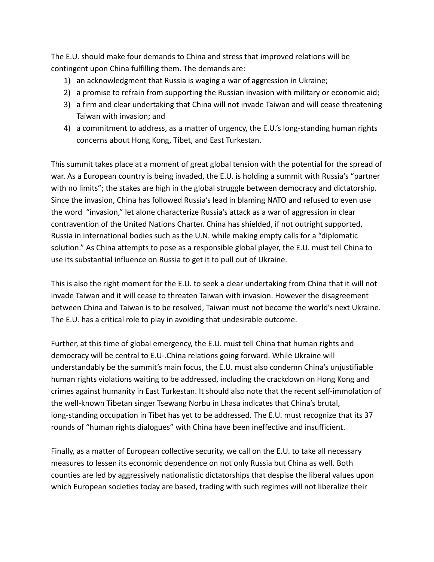The E.U. should make four demands to China and stress that improved relations will be contingent upon China fulfilling them. The demands are:

- 1) an acknowledgment that Russia is waging a war of aggression in Ukraine;
- 2) a promise to refrain from supporting the Russian invasion with military or economic aid;
- 3) a firm and clear undertaking that China will not invade Taiwan and will cease threatening Taiwan with invasion; and
- 4) a commitment to address, as a matter of urgency, the E.U.'s long-standing human rights concerns about Hong Kong, Tibet, and East Turkestan.

This summit takes place at a moment of great global tension with the potential for the spread of war. As a European country is being invaded, the E.U. is holding a summit with Russia's "partner with no limits"; the stakes are high in the global struggle between democracy and dictatorship. Since the invasion, China has followed Russia's lead in blaming NATO and refused to even use the word "invasion," let alone characterize Russia's attack as a war of aggression in clear contravention of the United Nations Charter. China has shielded, if not outright supported, Russia in international bodies such as the U.N. while making empty calls for a "diplomatic solution." As China attempts to pose as a responsible global player, the E.U. must tell China to use its substantial influence on Russia to get it to pull out of Ukraine.

This is also the right moment for the E.U. to seek a clear undertaking from China that it will not invade Taiwan and it will cease to threaten Taiwan with invasion. However the disagreement between China and Taiwan is to be resolved, Taiwan must not become the world's next Ukraine. The E.U. has a critical role to play in avoiding that undesirable outcome.

Further, at this time of global emergency, the E.U. must tell China that human rights and democracy will be central to E.U-.China relations going forward. While Ukraine will understandably be the summit's main focus, the E.U. must also condemn China's unjustifiable human rights violations waiting to be addressed, including the crackdown on Hong Kong and crimes against humanity in East Turkestan. It should also note that the recent self-immolation of the well-known Tibetan singer Tsewang Norbu in Lhasa indicates that China's brutal, long-standing occupation in Tibet has yet to be addressed. The E.U. must recognize that its 37 rounds of "human rights dialogues" with China have been ineffective and insufficient.

Finally, as a matter of European collective security, we call on the E.U. to take all necessary measures to lessen its economic dependence on not only Russia but China as well. Both counties are led by aggressively nationalistic dictatorships that despise the liberal values upon which European societies today are based, trading with such regimes will not liberalize their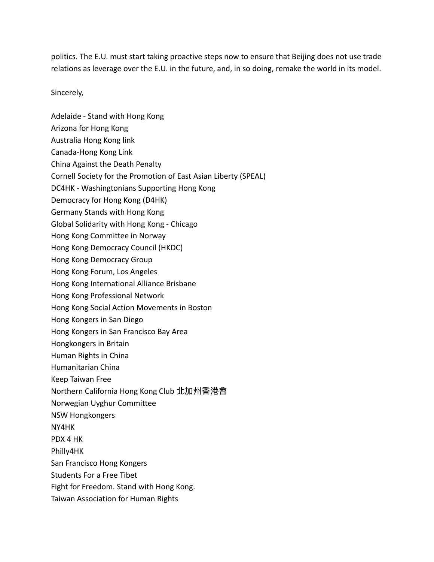politics. The E.U. must start taking proactive steps now to ensure that Beijing does not use trade relations as leverage over the E.U. in the future, and, in so doing, remake the world in its model.

Sincerely,

Adelaide - Stand with Hong Kong Arizona for Hong Kong Australia Hong Kong link Canada-Hong Kong Link China Against the Death Penalty Cornell Society for the Promotion of East Asian Liberty (SPEAL) DC4HK - Washingtonians Supporting Hong Kong Democracy for Hong Kong (D4HK) Germany Stands with Hong Kong Global Solidarity with Hong Kong - Chicago Hong Kong Committee in Norway Hong Kong Democracy Council (HKDC) Hong Kong Democracy Group Hong Kong Forum, Los Angeles Hong Kong International Alliance Brisbane Hong Kong Professional Network Hong Kong Social Action Movements in Boston Hong Kongers in San Diego Hong Kongers in San Francisco Bay Area Hongkongers in Britain Human Rights in China Humanitarian China Keep Taiwan Free Northern California Hong Kong Club 北加州香港會 Norwegian Uyghur Committee NSW Hongkongers NY4HK PDX 4 HK Philly4HK San Francisco Hong Kongers Students For a Free Tibet Fight for Freedom. Stand with Hong Kong. Taiwan Association for Human Rights